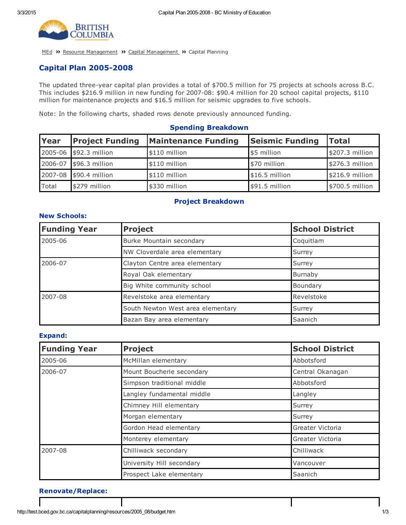

[MEd](http://test.bced.gov.bc.ca/) >> Resource [Management](http://test.bced.gov.bc.ca/departments/resource_man/capitalmanagement.htm) >> Capital Management >> Capital Planning

### **Capital Plan 2005-2008**

The updated three-year capital plan provides a total of \$700.5 million for 75 projects at schools across B.C. This includes \$216.9 million in new funding for 2007-08: \$90.4 million for 20 school capital projects, \$110 million for maintenance projects and \$16.5 million for seismic upgrades to five schools.

Note: In the following charts, shaded rows denote previously announced funding.

#### Spending Breakdown

| Year  | <b>Project Funding</b> | <b>Maintenance Funding</b> | <b>Seismic Funding</b> | <b>Total</b>     |
|-------|------------------------|----------------------------|------------------------|------------------|
|       | 2005-06 \$92.3 million | \$110 million              | \$5 million            | \$207.3 million  |
|       | 2006-07 \$96.3 million | $$110$ million             | \$70 million           | $$276.3$ million |
|       | 2007-08 \$90.4 million | \$110 million              | \$16.5 million         | \$216.9 million  |
| Total | \$279 million          | \$330 million              | \$91.5 million         | \$700.5 million  |

#### Project Breakdown

# Funding Year Project **School District** School District 2005-06 Burke Mountain secondary **Coquitlam** NW Cloverdale area elementary and the Surrey 2006-07 Clayton Centre area elementary Surrey Royal Oak elementary **Burnaby** Burnaby Big White community school and a set of the Boundary 2007-08 Revelstoke area elementary Revelstoke Revelstoke South Newton West area elementary **Surrey** Surrey Bazan Bay area elementary **Saanich** Saanich

#### Expand:

New Schools:

| <b>Funding Year</b> | <b>Project</b>             | <b>School District</b> |
|---------------------|----------------------------|------------------------|
| 2005-06             | McMillan elementary        | Abbotsford             |
| 2006-07             | Mount Boucherie secondary  | Central Okanagan       |
|                     | Simpson traditional middle | Abbotsford             |
|                     | Langley fundamental middle | Langley                |
|                     | Chimney Hill elementary    | Surrey                 |
|                     | Morgan elementary          | Surrey                 |
|                     | Gordon Head elementary     | Greater Victoria       |
|                     | Monterey elementary        | Greater Victoria       |
| 2007-08             | Chilliwack secondary       | Chilliwack             |
|                     | University Hill secondary  | Vancouver              |
|                     | Prospect Lake elementary   | Saanich                |

#### Renovate/Replace: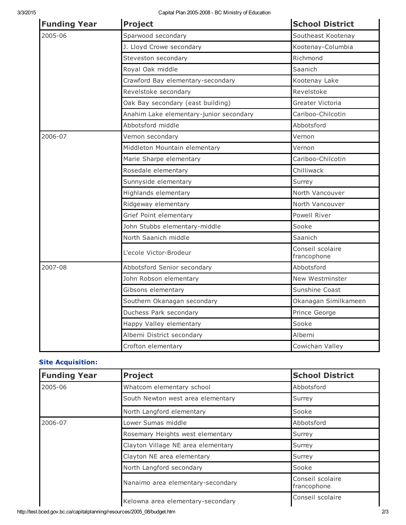| <b>Funding Year</b> | <b>Project</b>                          | <b>School District</b>          |
|---------------------|-----------------------------------------|---------------------------------|
| 2005-06             | Sparwood secondary                      | Southeast Kootenay              |
|                     | J. Lloyd Crowe secondary                | Kootenay-Columbia               |
|                     | Steveston secondary                     | Richmond                        |
|                     | Royal Oak middle                        | Saanich                         |
|                     | Crawford Bay elementary-secondary       | Kootenay Lake                   |
|                     | Revelstoke secondary                    | Revelstoke                      |
|                     | Oak Bay secondary (east building)       | Greater Victoria                |
|                     | Anahim Lake elementary-junior secondary | Cariboo-Chilcotin               |
|                     | Abbotsford middle                       | Abbotsford                      |
| 2006-07             | Vernon secondary                        | Vernon                          |
|                     | Middleton Mountain elementary           | Vernon                          |
|                     | Marie Sharpe elementary                 | Cariboo-Chilcotin               |
|                     | Rosedale elementary                     | Chilliwack                      |
|                     | Sunnyside elementary                    | Surrey                          |
|                     | Highlands elementary                    | North Vancouver                 |
|                     | Ridgeway elementary                     | North Vancouver                 |
|                     | Grief Point elementary                  | Powell River                    |
|                     | John Stubbs elementary-middle           | Sooke                           |
|                     | North Saanich middle                    | Saanich                         |
|                     | L'ecole Victor-Brodeur                  | Conseil scolaire<br>francophone |
| 2007-08             | Abbotsford Senior secondary             | Abbotsford                      |
|                     | John Robson elementary                  | New Westminster                 |
|                     | Gibsons elementary                      | Sunshine Coast                  |
|                     | Southern Okanagan secondary             | Okanagan Similkameen            |
|                     | Duchess Park secondary                  | Prince George                   |
|                     | Happy Valley elementary                 | Sooke                           |
|                     | Alberni District secondary              | Alberni                         |
|                     | Crofton elementary                      | Cowichan Valley                 |

## Site Acquisition:

| <b>Funding Year</b> | <b>Project</b>                     | <b>School District</b>          |
|---------------------|------------------------------------|---------------------------------|
| 2005-06             | Whatcom elementary school          | Abbotsford                      |
|                     | South Newton west area elementary  | Surrey                          |
|                     | North Langford elementary          | Sooke                           |
| 2006-07             | Lower Sumas middle                 | Abbotsford                      |
|                     | Rosemary Heights west elementary   | Surrey                          |
|                     | Clayton Village NE area elementary | Surrey                          |
|                     | Clayton NE area elementary         | Surrey                          |
|                     | North Langford secondary           | Sooke                           |
|                     | Nanaimo area elementary-secondary  | Conseil scolaire<br>francophone |
|                     | Kelowna area elementary-secondary  | Conseil scolaire                |

http://test.bced.gov.bc.ca/capitalplanning/resources/2005\_08/budget.htm 2/3